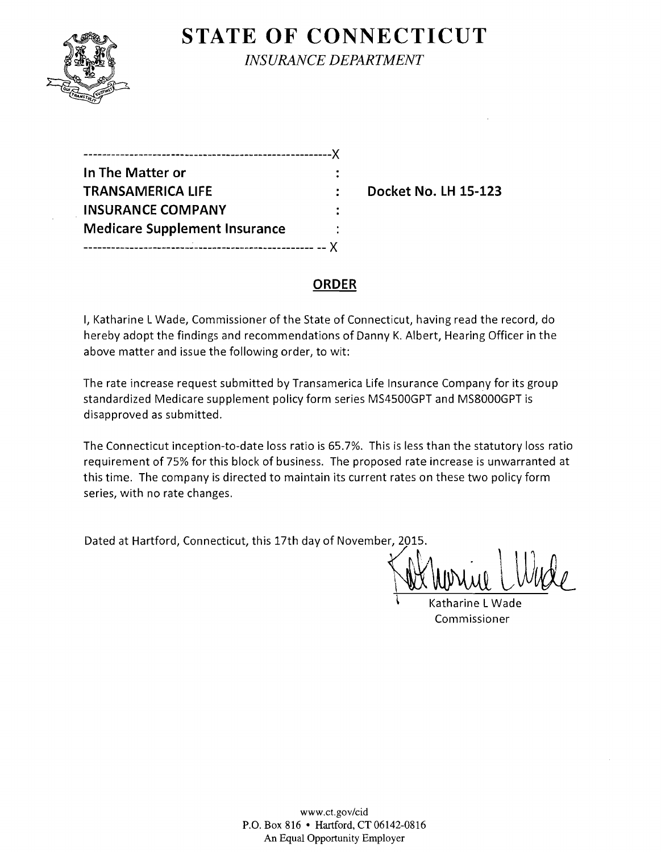

# **STATE OF CONNECTICUT**

*INSURANCE DEPARTMENT* 

| In The Matter or                     |  |
|--------------------------------------|--|
| <b>TRANSAMERICA LIFE</b>             |  |
| <b>INSURANCE COMPANY</b>             |  |
| <b>Medicare Supplement Insurance</b> |  |
|                                      |  |

**Docket No. LH 15-123** 

### **ORDER**

I, Katharine L Wade, Commissioner of the State of Connecticut, having read the record, do hereby adopt the findings and recommendations of Danny K. Albert, Hearing Officer in the above matter and issue the following order, to wit:

The rate increase request submitted by Transamerica Life Insurance Company for its group standardized Medicare supplement policy form series MS4500GPT and MS8000GPT is disapproved as submitted.

The Connecticut inception-to-date loss ratio is 65.7%. This is less than the statutory loss ratio requirement of 75% for this block of business. The proposed rate increase is unwarranted at this time. The company is directed to maintain its current rates on these two policy form series, with no rate changes.

Dated at Hartford, Connecticut, this 17th day of November, 2015.

\ Katharine L Wade Commissioner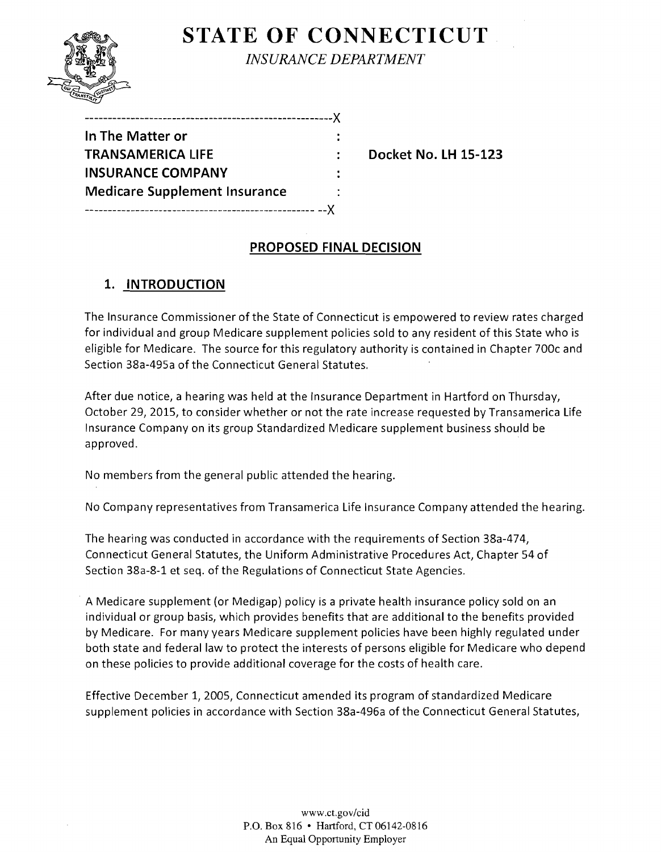

**STATE OF CONNECTICUT** 

*INSURANCE DEPARTMENT* 

| In The Matter or                     |  |
|--------------------------------------|--|
| TRANSAMERICA LIFE                    |  |
| <b>INSURANCE COMPANY</b>             |  |
| <b>Medicare Supplement Insurance</b> |  |
|                                      |  |

------------------------------------------------------)(

**Docket No. 1H 15-123** 

# **PROPOSED FINAL DECISION**

## **1. INTRODUCTION**

The Insurance Commissioner of the State of Connecticut is empowered to review rates charged for individual and group Medicare supplement policies sold to any resident of this State who is eligible for Medicare. The source for this regulatory authority is contained in Chapter 700c and Section 38a-495a of the Connecticut General Statutes.

After due notice, a hearing was held at the Insurance Department in Hartford on Thursday, October 29,2015, to consider whether or not the rate increase requested by Transamerica Life Insurance Company on its group Standardized Medicare supplement business should be approved.

No members from the general public attended the hearing.

No Company representatives from Transamerica Life Insurance Company attended the hearing.

The hearing was conducted in accordance with the requirements of Section 38a-474, Connecticut General Statutes, the Uniform Administrative Procedures Act, Chapter 54 of Section 38a-8-1 et seq. of the Regulations of Connecticut State Agencies.

A Medicare supplement (or Medigap) policy is a private health insurance policy sold on an individual or group basis, which provides benefits that are additional to the benefits provided by Medicare. For many years Medicare supplement policies have been highly regulated under both state and federal law to protect the interests of persons eligible for Medicare who depend on these policies to provide additional coverage for the costs of health care.

Effective December 1, 2005, Connecticut amended its program of standardized Medicare supplement policies in accordance with Section 38a-496a of the Connecticut General Statutes,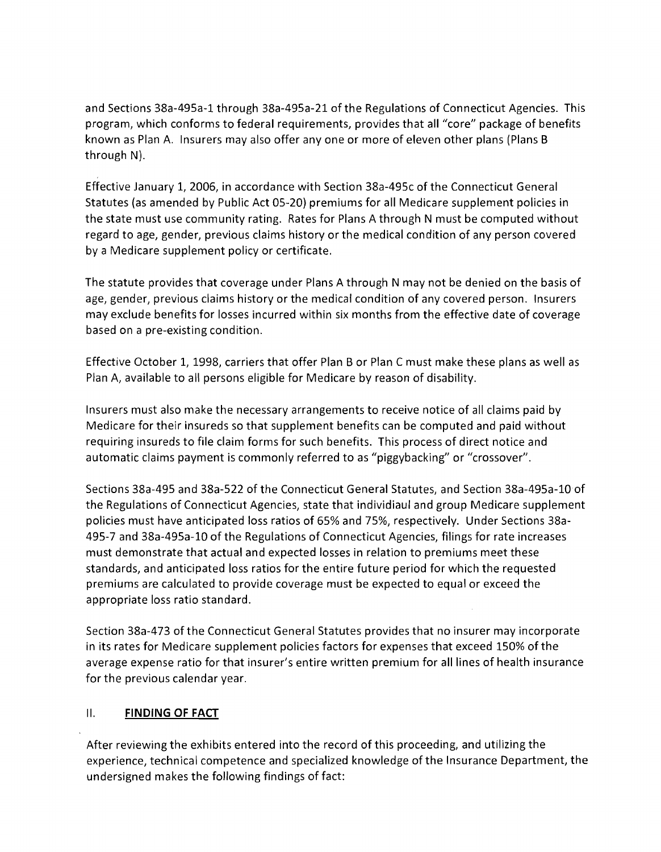and Sections 38a-495a-1 through 38a-495a-21 of the Regulations of Connecticut Agencies. This program, which conforms to federal requirements, provides that all "core" package of benefits known as Plan A. Insurers may also offer anyone or more of eleven other plans (Plans B through N).

Effective January 1, 2006, in accordance with Section 38a-495c of the Connecticut General Statutes (as amended by Public Act 05-20) premiums for all Medicare supplement policies in the state must use community rating. Rates for Plans A through N must be computed without regard to age, gender, previous claims history or the medical condition of any person covered by a Medicare supplement policy or certificate.

The statute provides that coverage under Plans A through N may not be denied on the basis of age, gender, previous claims history or the medical condition of any covered person. Insurers may exclude benefits for losses incurred within six months from the effective date of coverage based on a pre-existing condition.

Effective October 1, 1998, carriers that offer Plan B or Plan C must make these plans as well as Plan A, available to all persons eligible for Medicare by reason of disability.

Insurers must also make the necessary arrangements to receive notice of all claims paid by Medicare for their insureds so that supplement benefits can be computed and paid without requiring insureds to file claim forms for such benefits. This process of direct notice and automatic claims payment is commonly referred to as "piggybacking" or "crossover",

Sections 38a-495 and 38a-522 of the Connecticut General Statutes, and Section 38a-495a-10 of the Regulations of Connecticut Agencies, state that individiaul and group Medicare supplement policies must have anticipated loss ratios of 65% and 75%, respectively. Under Sections 38a-495-7 and 38a-495a-1O of the Regulations of Connecticut Agencies, filings for rate increases must demonstrate that actual and expected losses in relation to premiums meet these standards, and anticipated loss ratios for the entire future period for which the requested premiums are calculated to provide coverage must be expected to equal or exceed the appropriate loss ratio standard.

Section 38a-473 of the Connecticut General Statutes provides that no insurer may incorporate in its rates for Medicare supplement policies factors for expenses that exceed 150% of the average expense ratio for that insurer's entire written premium for all lines of health insurance for the previous calendar year.

#### **II.** FINDING OF FACT

After reviewing the exhibits entered into the record of this proceeding, and utilizing the experience, technical competence and specialized knowledge of the Insurance Department, the undersigned makes the following findings of fact: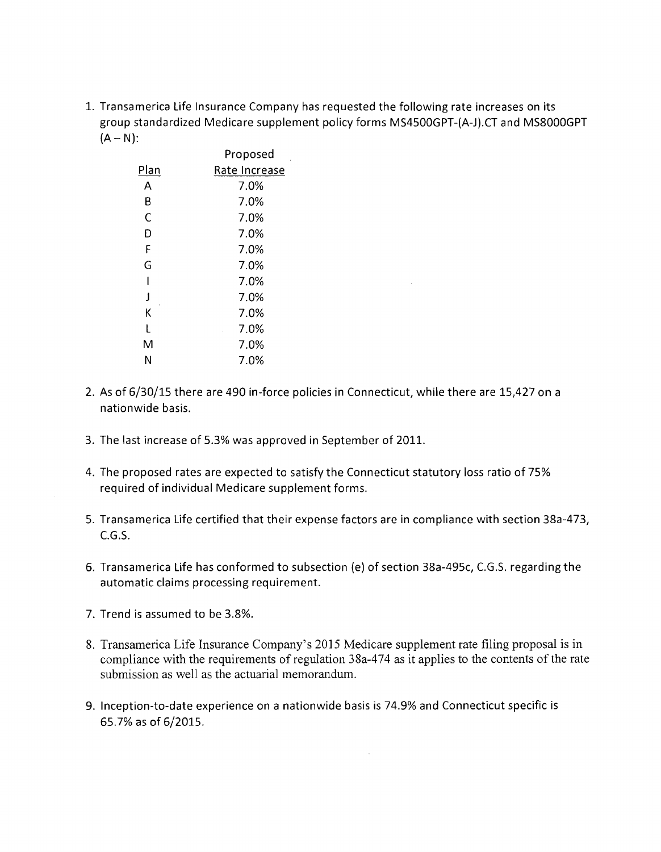1. Transamerica Life Insurance Company has requested the following rate increases on its group standardized Medicare supplement policy forms MS4500GPT-(A-J).CTand MS8000GPT  $(A - N)$ :

|                       | Proposed      |
|-----------------------|---------------|
| Plan                  | Rate Increase |
| А                     | 7.0%          |
| В                     | 7.0%          |
| Ċ                     | 7.0%          |
| D                     | 7.0%          |
| F                     | 7.0%          |
| G                     | 7.0%          |
| ı                     | 7.0%          |
| $\mathbf{\mathbf{I}}$ | 7.0%          |
| Κ                     | 7.0%          |
| L                     | 7.0%          |
| M                     | 7.0%          |
| Ν                     | 7.0%          |

- 2. As of 6/30/15 there are 490 in-force policies in Connecticut, while there are 15,427 on a nationwide basis.
- 3. The last increase of 5.3% was approved in September of 2011.
- 4. The proposed rates are expected to satisfy the Connecticut statutory loss ratio of 75% required of individual Medicare supplement forms.
- 5. Transamerica Life certified that their expense factors are in compliance with section 38a-473, e.G.S.
- 6. Transamerica Life has conformed to subsection (e) of section 38a-495c, C.G.S. regarding the automatic claims processing requirement.
- 7. Trend is assumed to be 3.8%.
- 8. Transamerica Life Insurance Company's 2015 Medicare supplement rate filing proposal is in compliance with the requirements of regulation 38a-474 as it applies to the contents of the rate submission as well as the actuarial memorandum.
- 9. Inception-to-date experience on a nationwide basis is 74.9% and Connecticut specific is 65.7% as of 6/2015.